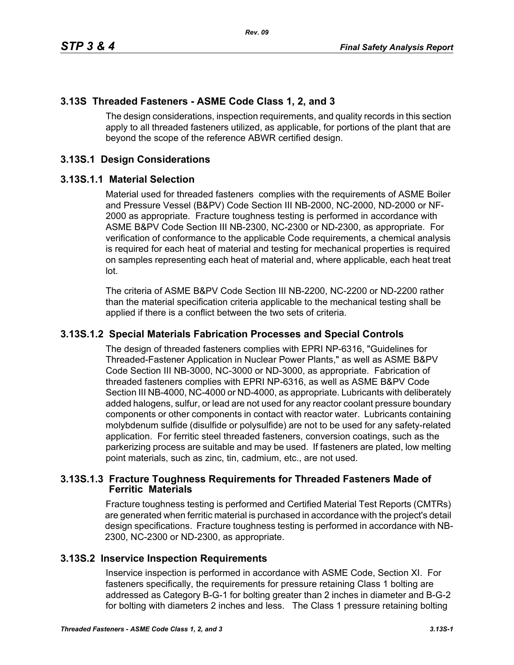# **3.13S Threaded Fasteners - ASME Code Class 1, 2, and 3**

The design considerations, inspection requirements, and quality records in this section apply to all threaded fasteners utilized, as applicable, for portions of the plant that are beyond the scope of the reference ABWR certified design.

# **3.13S.1 Design Considerations**

#### **3.13S.1.1 Material Selection**

Material used for threaded fasteners complies with the requirements of ASME Boiler and Pressure Vessel (B&PV) Code Section III NB-2000, NC-2000, ND-2000 or NF-2000 as appropriate. Fracture toughness testing is performed in accordance with ASME B&PV Code Section III NB-2300, NC-2300 or ND-2300, as appropriate. For verification of conformance to the applicable Code requirements, a chemical analysis is required for each heat of material and testing for mechanical properties is required on samples representing each heat of material and, where applicable, each heat treat lot.

The criteria of ASME B&PV Code Section III NB-2200, NC-2200 or ND-2200 rather than the material specification criteria applicable to the mechanical testing shall be applied if there is a conflict between the two sets of criteria.

### **3.13S.1.2 Special Materials Fabrication Processes and Special Controls**

The design of threaded fasteners complies with EPRI NP-6316, "Guidelines for Threaded-Fastener Application in Nuclear Power Plants," as well as ASME B&PV Code Section III NB-3000, NC-3000 or ND-3000, as appropriate. Fabrication of threaded fasteners complies with EPRI NP-6316, as well as ASME B&PV Code Section III NB-4000, NC-4000 or ND-4000, as appropriate. Lubricants with deliberately added halogens, sulfur, or lead are not used for any reactor coolant pressure boundary components or other components in contact with reactor water. Lubricants containing molybdenum sulfide (disulfide or polysulfide) are not to be used for any safety-related application. For ferritic steel threaded fasteners, conversion coatings, such as the parkerizing process are suitable and may be used. If fasteners are plated, low melting point materials, such as zinc, tin, cadmium, etc., are not used.

#### **3.13S.1.3 Fracture Toughness Requirements for Threaded Fasteners Made of Ferritic Materials**

Fracture toughness testing is performed and Certified Material Test Reports (CMTRs) are generated when ferritic material is purchased in accordance with the project's detail design specifications. Fracture toughness testing is performed in accordance with NB-2300, NC-2300 or ND-2300, as appropriate.

### **3.13S.2 Inservice Inspection Requirements**

Inservice inspection is performed in accordance with ASME Code, Section XI. For fasteners specifically, the requirements for pressure retaining Class 1 bolting are addressed as Category B-G-1 for bolting greater than 2 inches in diameter and B-G-2 for bolting with diameters 2 inches and less. The Class 1 pressure retaining bolting